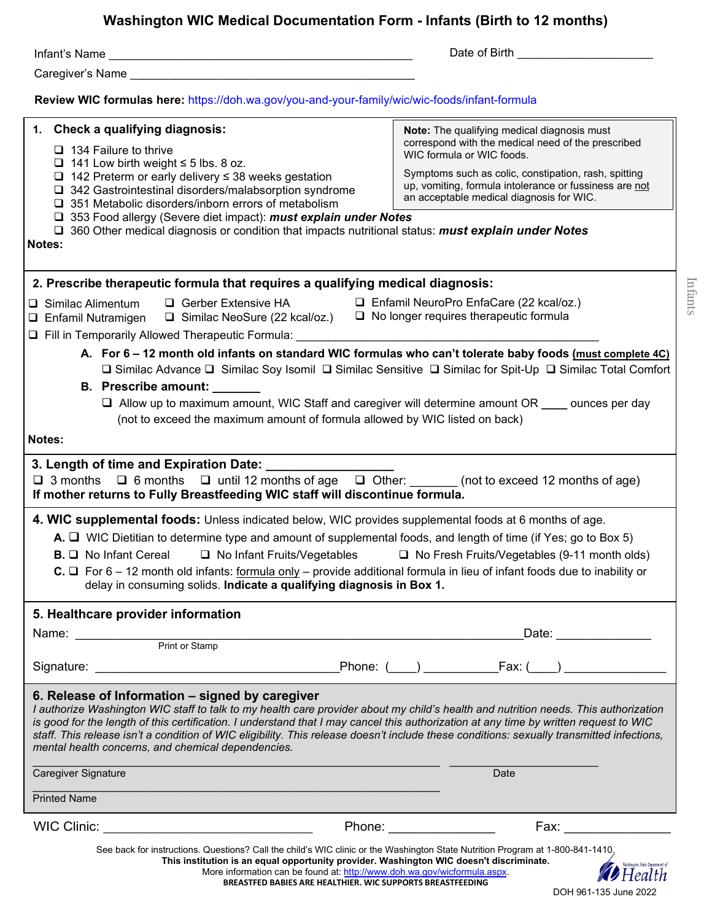## **Washington WIC Medical Documentation Form - Infants (Birth to 12 months)**

| asimiglon mo mcarcai Documentation i onn - miants (Dirth to T2 months)                                                                                                                                                                                                                                                                                                                                                                                                                                                                        |                                                                                                                                                                                                                                                                                                                                                                                                                                                                 |  |  |  |  |
|-----------------------------------------------------------------------------------------------------------------------------------------------------------------------------------------------------------------------------------------------------------------------------------------------------------------------------------------------------------------------------------------------------------------------------------------------------------------------------------------------------------------------------------------------|-----------------------------------------------------------------------------------------------------------------------------------------------------------------------------------------------------------------------------------------------------------------------------------------------------------------------------------------------------------------------------------------------------------------------------------------------------------------|--|--|--|--|
|                                                                                                                                                                                                                                                                                                                                                                                                                                                                                                                                               | Date of Birth <b>Exercise 2008</b>                                                                                                                                                                                                                                                                                                                                                                                                                              |  |  |  |  |
| Caregiver's Name <b>Caregiver's</b> Name                                                                                                                                                                                                                                                                                                                                                                                                                                                                                                      |                                                                                                                                                                                                                                                                                                                                                                                                                                                                 |  |  |  |  |
| Review WIC formulas here: https://doh.wa.gov/you-and-your-family/wic/wic-foods/infant-formula                                                                                                                                                                                                                                                                                                                                                                                                                                                 |                                                                                                                                                                                                                                                                                                                                                                                                                                                                 |  |  |  |  |
| 1. Check a qualifying diagnosis:<br>$\Box$ 134 Failure to thrive                                                                                                                                                                                                                                                                                                                                                                                                                                                                              | Note: The qualifying medical diagnosis must<br>correspond with the medical need of the prescribed<br>WIC formula or WIC foods.                                                                                                                                                                                                                                                                                                                                  |  |  |  |  |
| $\Box$ 141 Low birth weight $\leq$ 5 lbs. 8 oz.<br>$\Box$ 142 Preterm or early delivery $\leq$ 38 weeks gestation<br>$\Box$ 342 Gastrointestinal disorders/malabsorption syndrome<br>□ 351 Metabolic disorders/inborn errors of metabolism<br>□ 353 Food allergy (Severe diet impact): must explain under Notes                                                                                                                                                                                                                               | Symptoms such as colic, constipation, rash, spitting<br>up, vomiting, formula intolerance or fussiness are not<br>an acceptable medical diagnosis for WIC.                                                                                                                                                                                                                                                                                                      |  |  |  |  |
| <b>a</b> 360 Other medical diagnosis or condition that impacts nutritional status: <b>must explain under Notes</b><br>Notes:                                                                                                                                                                                                                                                                                                                                                                                                                  |                                                                                                                                                                                                                                                                                                                                                                                                                                                                 |  |  |  |  |
| 2. Prescribe therapeutic formula that requires a qualifying medical diagnosis:                                                                                                                                                                                                                                                                                                                                                                                                                                                                |                                                                                                                                                                                                                                                                                                                                                                                                                                                                 |  |  |  |  |
| $\Box$ Gerber Extensive HA $\Box$ Enfamil NeuroPro EnfaCare (22 kcal/oz.)<br>$\Box$ Similac Alimentum                                                                                                                                                                                                                                                                                                                                                                                                                                         |                                                                                                                                                                                                                                                                                                                                                                                                                                                                 |  |  |  |  |
| □ Enfamil Nutramigen □ Similac NeoSure (22 kcal/oz.) □ No longer requires therapeutic formula<br>Fill in Temporarily Allowed Therapeutic Formula: ________                                                                                                                                                                                                                                                                                                                                                                                    |                                                                                                                                                                                                                                                                                                                                                                                                                                                                 |  |  |  |  |
| A. For 6 - 12 month old infants on standard WIC formulas who can't tolerate baby foods (must complete 4C)<br>□ Similac Advance □ Similac Soy Isomil □ Similac Sensitive □ Similac for Spit-Up □ Similac Total Comfort<br><b>B.</b> Prescribe amount:<br>$\Box$ Allow up to maximum amount, WIC Staff and caregiver will determine amount OR $\_\_\_\_$ ounces per day<br>(not to exceed the maximum amount of formula allowed by WIC listed on back)                                                                                          |                                                                                                                                                                                                                                                                                                                                                                                                                                                                 |  |  |  |  |
| Notes:                                                                                                                                                                                                                                                                                                                                                                                                                                                                                                                                        |                                                                                                                                                                                                                                                                                                                                                                                                                                                                 |  |  |  |  |
| 3. Length of time and Expiration Date: ______________<br>$\Box$ 3 months $\Box$ 6 months $\Box$ until 12 months of age $\Box$ Other: (not to exceed 12 months of age)<br>If mother returns to Fully Breastfeeding WIC staff will discontinue formula.                                                                                                                                                                                                                                                                                         |                                                                                                                                                                                                                                                                                                                                                                                                                                                                 |  |  |  |  |
| 4. WIC supplemental foods: Unless indicated below, WIC provides supplemental foods at 6 months of age.<br>A. I WIC Dietitian to determine type and amount of supplemental foods, and length of time (if Yes; go to Box 5)<br>□ No Infant Fruits/Vegetables □ No Fresh Fruits/Vegetables (9-11 month olds)<br><b>B.</b> Q No Infant Cereal<br>C. □ For 6 – 12 month old infants: formula only – provide additional formula in lieu of infant foods due to inability or<br>delay in consuming solids. Indicate a qualifying diagnosis in Box 1. |                                                                                                                                                                                                                                                                                                                                                                                                                                                                 |  |  |  |  |
| 5. Healthcare provider information                                                                                                                                                                                                                                                                                                                                                                                                                                                                                                            |                                                                                                                                                                                                                                                                                                                                                                                                                                                                 |  |  |  |  |
| Name: <u>Name:</u> Print or Stamp                                                                                                                                                                                                                                                                                                                                                                                                                                                                                                             | Date: _______________                                                                                                                                                                                                                                                                                                                                                                                                                                           |  |  |  |  |
|                                                                                                                                                                                                                                                                                                                                                                                                                                                                                                                                               |                                                                                                                                                                                                                                                                                                                                                                                                                                                                 |  |  |  |  |
|                                                                                                                                                                                                                                                                                                                                                                                                                                                                                                                                               |                                                                                                                                                                                                                                                                                                                                                                                                                                                                 |  |  |  |  |
| 6. Release of Information - signed by caregiver<br>I authorize Washington WIC staff to talk to my health care provider about my child's health and nutrition needs. This authorization<br>is good for the length of this certification. I understand that I may cancel this authorization at any time by written request to WIC<br>staff. This release isn't a condition of WIC eligibility. This release doesn't include these conditions: sexually transmitted infections,<br>mental health concerns, and chemical dependencies.            |                                                                                                                                                                                                                                                                                                                                                                                                                                                                 |  |  |  |  |
| Caregiver Signature                                                                                                                                                                                                                                                                                                                                                                                                                                                                                                                           | Date                                                                                                                                                                                                                                                                                                                                                                                                                                                            |  |  |  |  |
| <b>Printed Name</b>                                                                                                                                                                                                                                                                                                                                                                                                                                                                                                                           |                                                                                                                                                                                                                                                                                                                                                                                                                                                                 |  |  |  |  |
| WIC Clinic:                                                                                                                                                                                                                                                                                                                                                                                                                                                                                                                                   | Phone: the contract of the contract of the contract of the contract of the contract of the contract of the contract of the contract of the contract of the contract of the contract of the contract of the contract of the con<br>Fax: when the contract of the contract of the contract of the contract of the contract of the contract of the contract of the contract of the contract of the contract of the contract of the contract of the contract of the |  |  |  |  |
| See back for instructions. Questions? Call the child's WIC clinic or the Washington State Nutrition Program at 1-800-841-1410,<br>This institution is an equal opportunity provider. Washington WIC doesn't discriminate.<br>More information can be found at: http://www.doh.wa.gov/wicformula.aspx.<br>$\overline{C}$                                                                                                                                                                                                                       | $\blacktriangleright$ Health                                                                                                                                                                                                                                                                                                                                                                                                                                    |  |  |  |  |

**BREASTFED BABIES ARE HEALTHIER. WIC SUPPORTS BREASTFEEDING**

DOH 961-135 June 2022

Infants